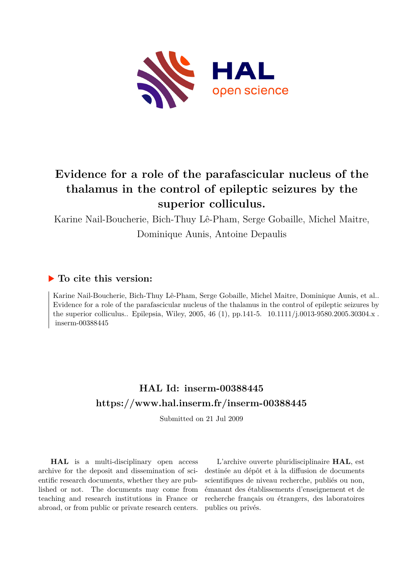

# **Evidence for a role of the parafascicular nucleus of the thalamus in the control of epileptic seizures by the superior colliculus.**

Karine Nail-Boucherie, Bich-Thuy Lê-Pham, Serge Gobaille, Michel Maitre,

Dominique Aunis, Antoine Depaulis

### **To cite this version:**

Karine Nail-Boucherie, Bich-Thuy Lê-Pham, Serge Gobaille, Michel Maitre, Dominique Aunis, et al.. Evidence for a role of the parafascicular nucleus of the thalamus in the control of epileptic seizures by the superior colliculus.. Epilepsia, Wiley, 2005, 46 (1), pp.141-5. 10.1111/j.0013-9580.2005.30304.x.  $inserm-00388445$ 

# **HAL Id: inserm-00388445 <https://www.hal.inserm.fr/inserm-00388445>**

Submitted on 21 Jul 2009

**HAL** is a multi-disciplinary open access archive for the deposit and dissemination of scientific research documents, whether they are published or not. The documents may come from teaching and research institutions in France or abroad, or from public or private research centers.

L'archive ouverte pluridisciplinaire **HAL**, est destinée au dépôt et à la diffusion de documents scientifiques de niveau recherche, publiés ou non, émanant des établissements d'enseignement et de recherche français ou étrangers, des laboratoires publics ou privés.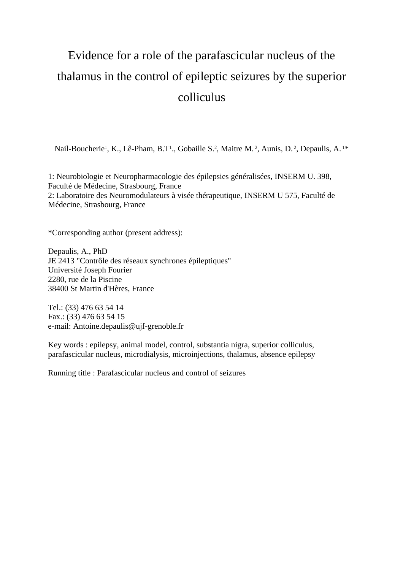# Evidence for a role of the parafascicular nucleus of the thalamus in the control of epileptic seizures by the superior colliculus

Nail-Boucherie<sup>1</sup>, K., Lê-Pham, B.T<sup>1</sup>., Gobaille S.<sup>2</sup>, Maitre M.<sup>2</sup>, Aunis, D.<sup>2</sup>, Depaulis, A.<sup>1\*</sup>

1: Neurobiologie et Neuropharmacologie des épilepsies généralisées, INSERM U. 398, Faculté de Médecine, Strasbourg, France 2: Laboratoire des Neuromodulateurs à visée thérapeutique, INSERM U 575, Faculté de Médecine, Strasbourg, France

\*Corresponding author (present address):

Depaulis, A., PhD JE 2413 "Contrôle des réseaux synchrones épileptiques" Université Joseph Fourier 2280, rue de la Piscine 38400 St Martin d'Hères, France

Tel.: (33) 476 63 54 14 Fax.: (33) 476 63 54 15 e-mail: Antoine.depaulis@ujf-grenoble.fr

Key words : epilepsy, animal model, control, substantia nigra, superior colliculus, parafascicular nucleus, microdialysis, microinjections, thalamus, absence epilepsy

Running title : Parafascicular nucleus and control of seizures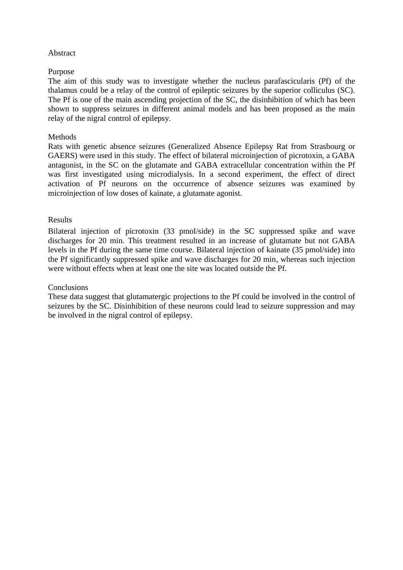#### **Abstract**

#### Purpose

The aim of this study was to investigate whether the nucleus parafascicularis (Pf) of the thalamus could be a relay of the control of epileptic seizures by the superior colliculus (SC). The Pf is one of the main ascending projection of the SC, the disinhibition of which has been shown to suppress seizures in different animal models and has been proposed as the main relay of the nigral control of epilepsy.

#### **Methods**

Rats with genetic absence seizures (Generalized Absence Epilepsy Rat from Strasbourg or GAERS) were used in this study. The effect of bilateral microinjection of picrotoxin, a GABA antagonist, in the SC on the glutamate and GABA extracellular concentration within the Pf was first investigated using microdialysis. In a second experiment, the effect of direct activation of Pf neurons on the occurrence of absence seizures was examined by microinjection of low doses of kainate, a glutamate agonist.

#### Results

Bilateral injection of picrotoxin (33 pmol/side) in the SC suppressed spike and wave discharges for 20 min. This treatment resulted in an increase of glutamate but not GABA levels in the Pf during the same time course. Bilateral injection of kainate (35 pmol/side) into the Pf significantly suppressed spike and wave discharges for 20 min, whereas such injection were without effects when at least one the site was located outside the Pf.

#### **Conclusions**

These data suggest that glutamatergic projections to the Pf could be involved in the control of seizures by the SC. Disinhibition of these neurons could lead to seizure suppression and may be involved in the nigral control of epilepsy.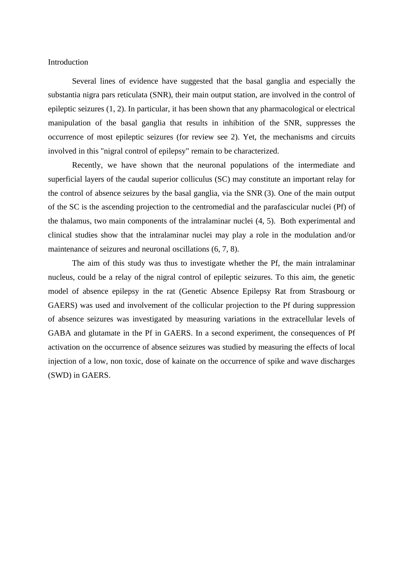Introduction

Several lines of evidence have suggested that the basal ganglia and especially the substantia nigra pars reticulata (SNR), their main output station, are involved in the control of epileptic seizures (1, 2). In particular, it has been shown that any pharmacological or electrical manipulation of the basal ganglia that results in inhibition of the SNR, suppresses the occurrence of most epileptic seizures (for review see 2). Yet, the mechanisms and circuits involved in this "nigral control of epilepsy" remain to be characterized.

Recently, we have shown that the neuronal populations of the intermediate and superficial layers of the caudal superior colliculus (SC) may constitute an important relay for the control of absence seizures by the basal ganglia, via the SNR (3). One of the main output of the SC is the ascending projection to the centromedial and the parafascicular nuclei (Pf) of the thalamus, two main components of the intralaminar nuclei (4, 5). Both experimental and clinical studies show that the intralaminar nuclei may play a role in the modulation and/or maintenance of seizures and neuronal oscillations (6, 7, 8).

The aim of this study was thus to investigate whether the Pf, the main intralaminar nucleus, could be a relay of the nigral control of epileptic seizures. To this aim, the genetic model of absence epilepsy in the rat (Genetic Absence Epilepsy Rat from Strasbourg or GAERS) was used and involvement of the collicular projection to the Pf during suppression of absence seizures was investigated by measuring variations in the extracellular levels of GABA and glutamate in the Pf in GAERS. In a second experiment, the consequences of Pf activation on the occurrence of absence seizures was studied by measuring the effects of local injection of a low, non toxic, dose of kainate on the occurrence of spike and wave discharges (SWD) in GAERS.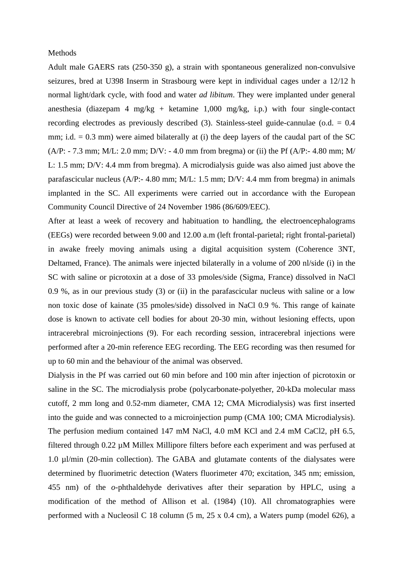#### **Methods**

Adult male GAERS rats (250-350 g), a strain with spontaneous generalized non-convulsive seizures, bred at U398 Inserm in Strasbourg were kept in individual cages under a 12/12 h normal light/dark cycle, with food and water *ad libitum*. They were implanted under general anesthesia (diazepam 4 mg/kg + ketamine 1,000 mg/kg, i.p.) with four single-contact recording electrodes as previously described (3). Stainless-steel guide-cannulae (o.d. = 0.4 mm; i.d. = 0.3 mm) were aimed bilaterally at (i) the deep layers of the caudal part of the SC  $(A/P: -7.3$  mm; M/L: 2.0 mm; D/V: - 4.0 mm from bregma) or (ii) the Pf (A/P: - 4.80 mm; M/ L: 1.5 mm; D/V: 4.4 mm from bregma). A microdialysis guide was also aimed just above the parafascicular nucleus (A/P:- 4.80 mm; M/L: 1.5 mm; D/V: 4.4 mm from bregma) in animals implanted in the SC. All experiments were carried out in accordance with the European Community Council Directive of 24 November 1986 (86/609/EEC).

After at least a week of recovery and habituation to handling, the electroencephalograms (EEGs) were recorded between 9.00 and 12.00 a.m (left frontal-parietal; right frontal-parietal) in awake freely moving animals using a digital acquisition system (Coherence 3NT, Deltamed, France). The animals were injected bilaterally in a volume of 200 nl/side (i) in the SC with saline or picrotoxin at a dose of 33 pmoles/side (Sigma, France) dissolved in NaCl 0.9 %, as in our previous study (3) or (ii) in the parafascicular nucleus with saline or a low non toxic dose of kainate (35 pmoles/side) dissolved in NaCl 0.9 %. This range of kainate dose is known to activate cell bodies for about 20-30 min, without lesioning effects, upon intracerebral microinjections (9). For each recording session, intracerebral injections were performed after a 20-min reference EEG recording. The EEG recording was then resumed for up to 60 min and the behaviour of the animal was observed.

Dialysis in the Pf was carried out 60 min before and 100 min after injection of picrotoxin or saline in the SC. The microdialysis probe (polycarbonate-polyether, 20-kDa molecular mass cutoff, 2 mm long and 0.52-mm diameter, CMA 12; CMA Microdialysis) was first inserted into the guide and was connected to a microinjection pump (CMA 100; CMA Microdialysis). The perfusion medium contained 147 mM NaCl, 4.0 mM KCl and 2.4 mM CaCl2, pH 6.5, filtered through 0.22 µM Millex Millipore filters before each experiment and was perfused at 1.0 µl/min (20-min collection). The GABA and glutamate contents of the dialysates were determined by fluorimetric detection (Waters fluorimeter 470; excitation, 345 nm; emission, 455 nm) of the *o*-phthaldehyde derivatives after their separation by HPLC, using a modification of the method of Allison et al. (1984) (10). All chromatographies were performed with a Nucleosil C 18 column (5 m, 25 x 0.4 cm), a Waters pump (model 626), a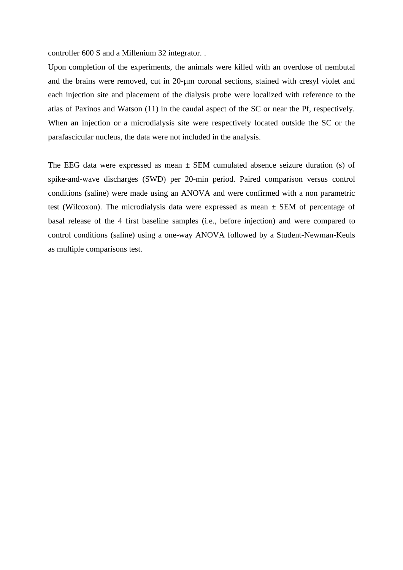controller 600 S and a Millenium 32 integrator. .

Upon completion of the experiments, the animals were killed with an overdose of nembutal and the brains were removed, cut in 20-µm coronal sections, stained with cresyl violet and each injection site and placement of the dialysis probe were localized with reference to the atlas of Paxinos and Watson (11) in the caudal aspect of the SC or near the Pf, respectively. When an injection or a microdialysis site were respectively located outside the SC or the parafascicular nucleus, the data were not included in the analysis.

The EEG data were expressed as mean  $\pm$  SEM cumulated absence seizure duration (s) of spike-and-wave discharges (SWD) per 20-min period. Paired comparison versus control conditions (saline) were made using an ANOVA and were confirmed with a non parametric test (Wilcoxon). The microdialysis data were expressed as mean  $\pm$  SEM of percentage of basal release of the 4 first baseline samples (i.e., before injection) and were compared to control conditions (saline) using a one-way ANOVA followed by a Student-Newman-Keuls as multiple comparisons test.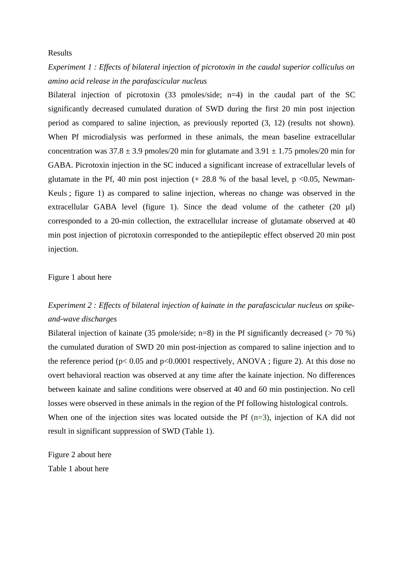#### Results

## *Experiment 1 : Effects of bilateral injection of picrotoxin in the caudal superior colliculus on amino acid release in the parafascicular nucleus*

Bilateral injection of picrotoxin (33 pmoles/side; n=4) in the caudal part of the SC significantly decreased cumulated duration of SWD during the first 20 min post injection period as compared to saline injection, as previously reported (3, 12) (results not shown). When Pf microdialysis was performed in these animals, the mean baseline extracellular concentration was  $37.8 \pm 3.9$  pmoles/20 min for glutamate and  $3.91 \pm 1.75$  pmoles/20 min for GABA. Picrotoxin injection in the SC induced a significant increase of extracellular levels of glutamate in the Pf, 40 min post injection  $(+ 28.8 %$  of the basal level, p <0.05, Newman-Keuls ; figure 1) as compared to saline injection, whereas no change was observed in the extracellular GABA level (figure 1). Since the dead volume of the catheter (20 µl) corresponded to a 20-min collection, the extracellular increase of glutamate observed at 40 min post injection of picrotoxin corresponded to the antiepileptic effect observed 20 min post injection.

#### Figure 1 about here

## *Experiment 2 : Effects of bilateral injection of kainate in the parafascicular nucleus on spikeand-wave discharges*

Bilateral injection of kainate (35 pmole/side; n=8) in the Pf significantly decreased ( $>$  70 %) the cumulated duration of SWD 20 min post-injection as compared to saline injection and to the reference period ( $p$ < 0.05 and  $p$ <0.0001 respectively, ANOVA; figure 2). At this dose no overt behavioral reaction was observed at any time after the kainate injection. No differences between kainate and saline conditions were observed at 40 and 60 min postinjection. No cell losses were observed in these animals in the region of the Pf following histological controls. When one of the injection sites was located outside the Pf (n=3), injection of KA did not result in significant suppression of SWD (Table 1).

Figure 2 about here Table 1 about here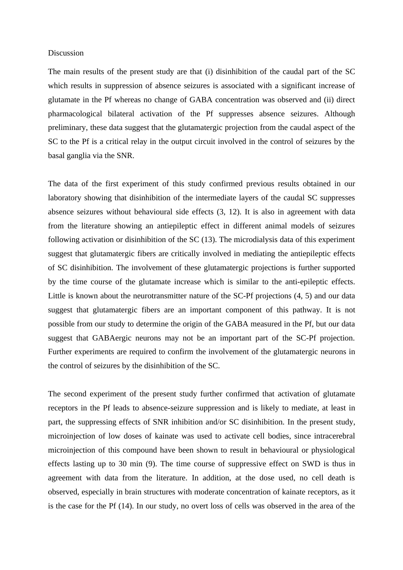#### Discussion

The main results of the present study are that (i) disinhibition of the caudal part of the SC which results in suppression of absence seizures is associated with a significant increase of glutamate in the Pf whereas no change of GABA concentration was observed and (ii) direct pharmacological bilateral activation of the Pf suppresses absence seizures. Although preliminary, these data suggest that the glutamatergic projection from the caudal aspect of the SC to the Pf is a critical relay in the output circuit involved in the control of seizures by the basal ganglia via the SNR.

The data of the first experiment of this study confirmed previous results obtained in our laboratory showing that disinhibition of the intermediate layers of the caudal SC suppresses absence seizures without behavioural side effects (3, 12). It is also in agreement with data from the literature showing an antiepileptic effect in different animal models of seizures following activation or disinhibition of the SC (13). The microdialysis data of this experiment suggest that glutamatergic fibers are critically involved in mediating the antiepileptic effects of SC disinhibition. The involvement of these glutamatergic projections is further supported by the time course of the glutamate increase which is similar to the anti-epileptic effects. Little is known about the neurotransmitter nature of the SC-Pf projections (4, 5) and our data suggest that glutamatergic fibers are an important component of this pathway. It is not possible from our study to determine the origin of the GABA measured in the Pf, but our data suggest that GABAergic neurons may not be an important part of the SC-Pf projection. Further experiments are required to confirm the involvement of the glutamatergic neurons in the control of seizures by the disinhibition of the SC.

The second experiment of the present study further confirmed that activation of glutamate receptors in the Pf leads to absence-seizure suppression and is likely to mediate, at least in part, the suppressing effects of SNR inhibition and/or SC disinhibition. In the present study, microinjection of low doses of kainate was used to activate cell bodies, since intracerebral microinjection of this compound have been shown to result in behavioural or physiological effects lasting up to 30 min (9). The time course of suppressive effect on SWD is thus in agreement with data from the literature. In addition, at the dose used, no cell death is observed, especially in brain structures with moderate concentration of kainate receptors, as it is the case for the Pf (14). In our study, no overt loss of cells was observed in the area of the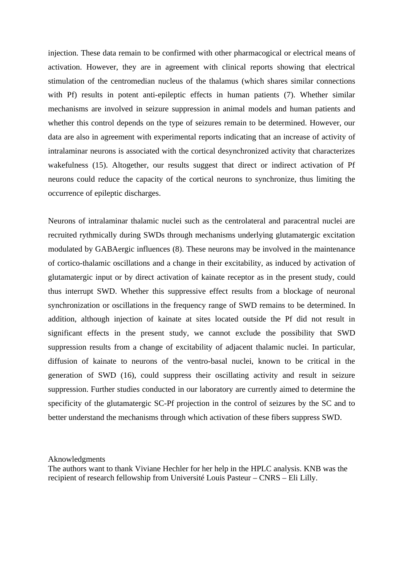injection. These data remain to be confirmed with other pharmacogical or electrical means of activation. However, they are in agreement with clinical reports showing that electrical stimulation of the centromedian nucleus of the thalamus (which shares similar connections with Pf) results in potent anti-epileptic effects in human patients (7). Whether similar mechanisms are involved in seizure suppression in animal models and human patients and whether this control depends on the type of seizures remain to be determined. However, our data are also in agreement with experimental reports indicating that an increase of activity of intralaminar neurons is associated with the cortical desynchronized activity that characterizes wakefulness (15). Altogether, our results suggest that direct or indirect activation of Pf neurons could reduce the capacity of the cortical neurons to synchronize, thus limiting the occurrence of epileptic discharges.

Neurons of intralaminar thalamic nuclei such as the centrolateral and paracentral nuclei are recruited rythmically during SWDs through mechanisms underlying glutamatergic excitation modulated by GABAergic influences (8). These neurons may be involved in the maintenance of cortico-thalamic oscillations and a change in their excitability, as induced by activation of glutamatergic input or by direct activation of kainate receptor as in the present study, could thus interrupt SWD. Whether this suppressive effect results from a blockage of neuronal synchronization or oscillations in the frequency range of SWD remains to be determined. In addition, although injection of kainate at sites located outside the Pf did not result in significant effects in the present study, we cannot exclude the possibility that SWD suppression results from a change of excitability of adjacent thalamic nuclei. In particular, diffusion of kainate to neurons of the ventro-basal nuclei, known to be critical in the generation of SWD (16), could suppress their oscillating activity and result in seizure suppression. Further studies conducted in our laboratory are currently aimed to determine the specificity of the glutamatergic SC-Pf projection in the control of seizures by the SC and to better understand the mechanisms through which activation of these fibers suppress SWD.

#### Aknowledgments

The authors want to thank Viviane Hechler for her help in the HPLC analysis. KNB was the recipient of research fellowship from Université Louis Pasteur – CNRS – Eli Lilly.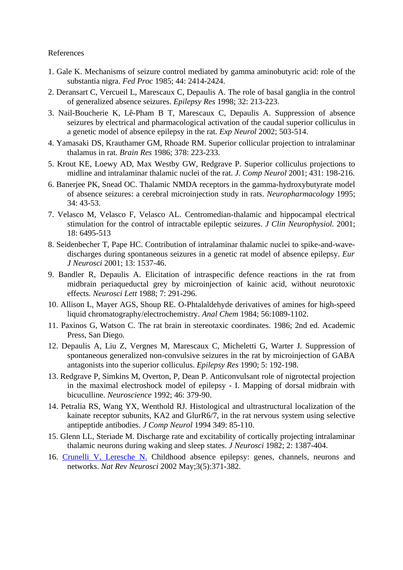#### References

- 1. Gale K. Mechanisms of seizure control mediated by gamma aminobutyric acid: role of the substantia nigra. *Fed Proc* 1985; 44: 2414-2424.
- 2. Deransart C, Vercueil L, Marescaux C, Depaulis A. The role of basal ganglia in the control of generalized absence seizures. *Epilepsy Res* 1998; 32: 213-223.
- 3. Nail-Boucherie K, Lê-Pham B T, Marescaux C, Depaulis A. Suppression of absence seizures by electrical and pharmacological activation of the caudal superior colliculus in a genetic model of absence epilepsy in the rat. *Exp Neurol* 2002; 503-514.
- 4. Yamasaki DS, Krauthamer GM, Rhoade RM. Superior collicular projection to intralaminar thalamus in rat. *Brain Res* 1986; 378: 223-233.
- 5. Krout KE, Loewy AD, Max Westby GW, Redgrave P. Superior colliculus projections to midline and intralaminar thalamic nuclei of the rat. *J. Comp Neurol* 2001; 431: 198-216.
- 6. Banerjee PK, Snead OC. Thalamic NMDA receptors in the gamma-hydroxybutyrate model of absence seizures: a cerebral microinjection study in rats. *Neuropharmacology* 1995; 34: 43-53.
- 7. Velasco M, Velasco F, Velasco AL. Centromedian-thalamic and hippocampal electrical stimulation for the control of intractable epileptic seizures. *J Clin Neurophysiol.* 2001; 18: 6495-513
- 8. Seidenbecher T, Pape HC. Contribution of intralaminar thalamic nuclei to spike-and-wavedischarges during spontaneous seizures in a genetic rat model of absence epilepsy. *Eur J Neurosci* 2001; 13: 1537-46.
- 9. Bandler R, Depaulis A. Elicitation of intraspecific defence reactions in the rat from midbrain periaqueductal grey by microinjection of kainic acid, without neurotoxic effects. *Neurosci Lett* 1988; 7: 291-296.
- 10. Allison L, Mayer AGS, Shoup RE. O-Phtalaldehyde derivatives of amines for high-speed liquid chromatography/electrochemistry. *Anal Chem* 1984; 56:1089-1102.
- 11. Paxinos G, Watson C. The rat brain in stereotaxic coordinates. 1986; 2nd ed. Academic Press, San Diego.
- 12. Depaulis A, Liu Z, Vergnes M, Marescaux C, Micheletti G, Warter J. Suppression of spontaneous generalized non-convulsive seizures in the rat by microinjection of GABA antagonists into the superior colliculus. *Epilepsy Res* 1990; 5: 192-198.
- 13. Redgrave P, Simkins M, Overton, P, Dean P. Anticonvulsant role of nigrotectal projection in the maximal electroshock model of epilepsy - I. Mapping of dorsal midbrain with bicuculline. *Neuroscience* 1992; 46: 379-90.
- 14. Petralia RS, Wang YX, Wenthold RJ. Histological and ultrastructural localization of the kainate receptor subunits, KA2 and GlurR6/7, in the rat nervous system using selective antipeptide antibodies. *J Comp Neurol* 1994 349: 85-110.
- 15. Glenn LL, Steriade M. Discharge rate and excitability of cortically projecting intralaminar thalamic neurons during waking and sleep states. *J Neurosci* 1982; 2: 1387-404.
- 16. [Crunelli V, Leresche N.](http://www.ncbi.nlm.nih.gov/entrez/query.fcgi?cmd=Retrieve&db=pubmed&dopt=Abstract&list_uids=11988776) Childhood absence epilepsy: genes, channels, neurons and networks. *Nat Rev Neurosci* 2002 May;3(5):371-382.